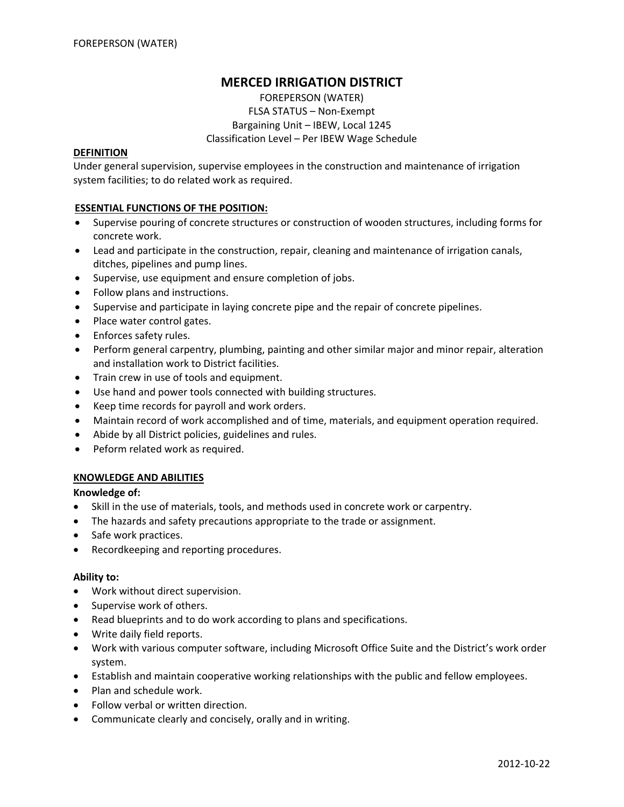# **MERCED IRRIGATION DISTRICT**

FOREPERSON (WATER) FLSA STATUS – Non‐Exempt Bargaining Unit – IBEW, Local 1245 Classification Level – Per IBEW Wage Schedule

#### **DEFINITION**

Under general supervision, supervise employees in the construction and maintenance of irrigation system facilities; to do related work as required.

#### **ESSENTIAL FUNCTIONS OF THE POSITION:**

- Supervise pouring of concrete structures or construction of wooden structures, including forms for concrete work.
- Lead and participate in the construction, repair, cleaning and maintenance of irrigation canals, ditches, pipelines and pump lines.
- Supervise, use equipment and ensure completion of jobs.
- Follow plans and instructions.
- Supervise and participate in laying concrete pipe and the repair of concrete pipelines.
- Place water control gates.
- Enforces safety rules.
- Perform general carpentry, plumbing, painting and other similar major and minor repair, alteration and installation work to District facilities.
- Train crew in use of tools and equipment.
- Use hand and power tools connected with building structures.
- Keep time records for payroll and work orders.
- Maintain record of work accomplished and of time, materials, and equipment operation required.
- Abide by all District policies, guidelines and rules.
- Peform related work as required.

#### **KNOWLEDGE AND ABILITIES**

### **Knowledge of:**

- Skill in the use of materials, tools, and methods used in concrete work or carpentry.
- The hazards and safety precautions appropriate to the trade or assignment.
- Safe work practices.
- Recordkeeping and reporting procedures.

#### **Ability to:**

- Work without direct supervision.
- Supervise work of others.
- Read blueprints and to do work according to plans and specifications.
- Write daily field reports.
- Work with various computer software, including Microsoft Office Suite and the District's work order system.
- Establish and maintain cooperative working relationships with the public and fellow employees.
- Plan and schedule work.
- Follow verbal or written direction.
- Communicate clearly and concisely, orally and in writing.